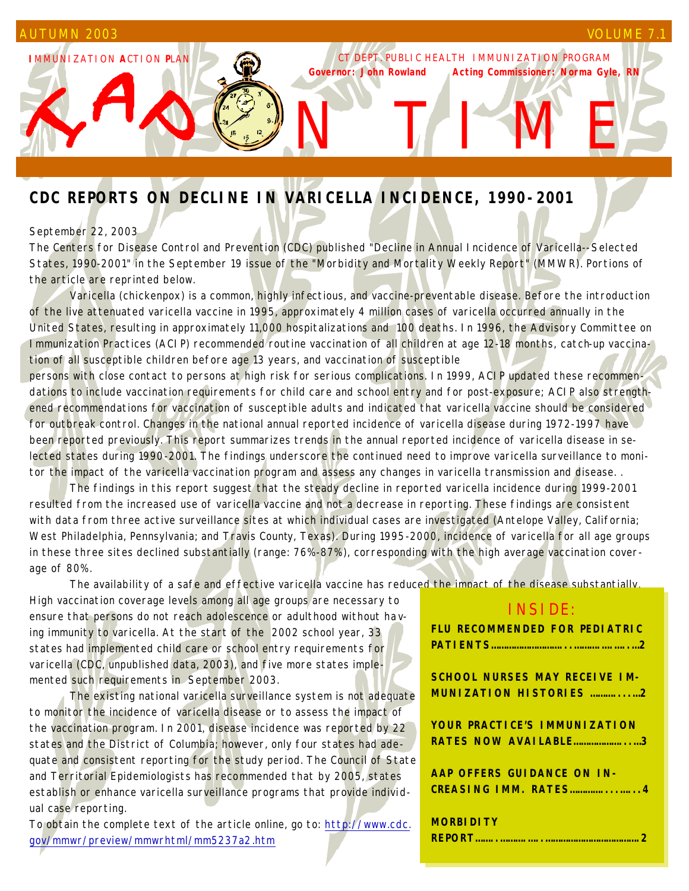**I**MMUNIZATION **A**CTION **P**LAN

CT DEPT. PUBLIC HEALTH IMMUNIZATION PROGRAM *Governor: John Rowland Acting Commissioner: Norma Gyle, RN*

N T M E

# **CDC REPORTS ON DECLINE IN VARICELLA INCIDENCE, 1990-2001**

## September 22, 2003

The Centers for Disease Control and Prevention (CDC) published "Decline in Annual Incidence of Varicella--Selected States, 1990-2001" in the September 19 issue of the "Morbidity and Mortality Weekly Report" (MMWR). Portions of the article are reprinted below.

 Varicella (chickenpox) is a common, highly infectious, and vaccine-preventable disease. Before the introduction of the live attenuated varicella vaccine in 1995, approximately 4 million cases of varicella occurred annually in the United States, resulting in approximately 11,000 hospitalizations and 100 deaths. In 1996, the Advisory Committee on Immunization Practices (ACIP) recommended routine vaccination of all children at age 12-18 months, catch-up vaccination of all susceptible children before age 13 years, and vaccination of susceptible

persons with close contact to persons at high risk for serious complications. In 1999, ACIP updated these recommendations to include vaccination requirements for child care and school entry and for post-exposure; ACIP also strengthened recommendations for vaccination of susceptible adults and indicated that varicella vaccine should be considered for outbreak control. Changes in the national annual reported incidence of varicella disease during 1972-1997 have been reported previously. This report summarizes trends in the annual reported incidence of varicella disease in selected states during 1990-2001. The findings underscore the continued need to improve varicella surveillance to monitor the impact of the varicella vaccination program and assess any changes in varicella transmission and disease. .

 The findings in this report suggest that the steady decline in reported varicella incidence during 1999-2001 resulted from the increased use of varicella vaccine and not a decrease in reporting. These findings are consistent with data from three active surveillance sites at which individual cases are investigated (Antelope Valley, California; West Philadelphia, Pennsylvania; and Travis County, Texas). During 1995-2000, incidence of varicella for all age groups in these three sites declined substantially (range: 76%-87%), corresponding with the high average vaccination coverage of 80%.

The availability of a safe and effective varicella vaccine has reduced the impact of the disease substantially.

High vaccination coverage levels among all age groups are necessary to ensure that persons do not reach adolescence or adulthood without having immunity to varicella. At the start of the 2002 school year, 33 states had implemented child care or school entry requirements for varicella (CDC, unpublished data, 2003), and five more states implemented such requirements in September 2003.

 The existing national varicella surveillance system is not adequate to monitor the incidence of varicella disease or to assess the impact of the vaccination program. In 2001, disease incidence was reported by 22 states and the District of Columbia; however, only four states had adequate and consistent reporting for the study period. The Council of State and Territorial Epidemiologists has recommended that by 2005, states establish or enhance varicella surveillance programs that provide individual case reporting.

To obtain the complete text of the article online, go to: http://www.cdc. gov/mmwr/preview/mmwrhtml/mm5237a2.htm

## INSIDE:

| FLU RECOMMENDED FOR PEDIATRIC |
|-------------------------------|
|                               |
|                               |
| SCHOOL NURSES MAY RECEIVE IM- |

**MUNIZATION HISTORIES ………....…2**

**YOUR PRACTICE'S IMMUNIZATION RATES NOW AVAILABLE………………...…3**

**AAP OFFERS GUIDANCE ON IN-CREASING IMM. RATES…………....…...4**

| <b>MORBIDITY</b> |  |
|------------------|--|
|                  |  |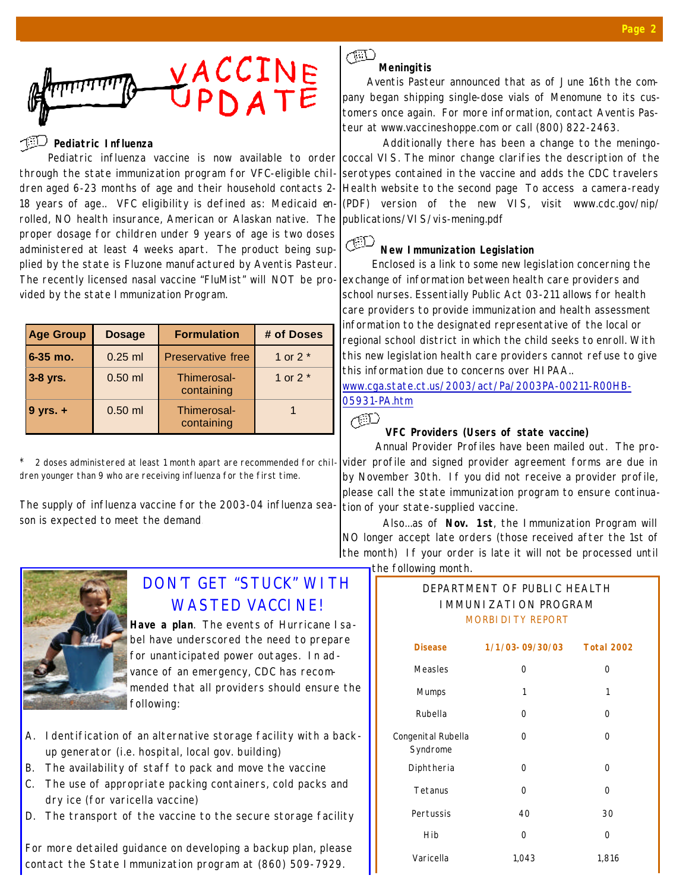

#### **Pediatric Influenza**

Pediatric influenza vaccine is now available to order through the state immunization program for VFC-eligible children aged 6-23 months of age and their household contacts 2- 18 years of age.. VFC eligibility is defined as: *Medicaid enrolled, NO health insurance, American or Alaskan native.* The proper dosage for children under 9 years of age is two doses administered at least 4 weeks apart. The product being supplied by the state is Fluzone manufactured by Aventis Pasteur. The recently licensed nasal vaccine "FluMist" will NOT be provided by the state Immunization Program.

| <b>Age Group</b> | <b>Dosage</b> | <b>Formulation</b>        | # of Doses |
|------------------|---------------|---------------------------|------------|
| $6 - 35$ mo.     | $0.25$ ml     | <b>Preservative free</b>  | 1 or $2^*$ |
| 3-8 yrs.         | $0.50$ ml     | Thimerosal-<br>containing | 1 or $2^*$ |
| $9$ yrs. $+$     | $0.50$ ml     | Thimerosal-<br>containing |            |

2 doses administered at least 1 month apart are recommended for children younger than 9 who are receiving influenza for the first time.

The supply of influenza vaccine for the 2003-04 influenza season is expected to meet the demand.



# DON'T GET "STUCK" WITH WASTED VACCINE!

**Have a plan**. The events of Hurricane Isabel have underscored the need to prepare for unanticipated power outages. In advance of an emergency, CDC has recommended that all providers should ensure the following:

- A. Identification of an alternative storage facility with a backup generator (i.e. hospital, local gov. building)
- B. The availability of staff to pack and move the vaccine
- C. The use of appropriate packing containers, cold packs and dry ice (for varicella vaccine)
- D. The transport of the vaccine to the secure storage facility

For more detailed guidance on developing a backup plan, please contact the State Immunization program at (860) 509-7929.

#### $\sqrt{2}$ **Meningitis**

Aventis Pasteur announced that as of June 16th the company began shipping single-dose vials of Menomune to its customers once again. For more information, contact Aventis Pasteur at www.vaccineshoppe.com or call (800) 822-2463.

 Additionally there has been a change to the meningococcal VIS. The minor change clarifies the description of the serotypes contained in the vaccine and adds the CDC travelers Health website to the second page To access a camera-ready (PDF) version of the new VIS, visit www.cdc.gov/nip/ publications/VIS/vis-mening.pdf

#### ŒD **New Immunization Legislation**

Enclosed is a link to some new legislation concerning the exchange of information between health care providers and school nurses. Essentially Public Act 03-211 allows for health care providers to provide immunization and health assessment information to the designated representative of the local or regional school district in which the child seeks to enroll. With this new legislation health care providers cannot refuse to give this information due to concerns over HIPAA..

www.cga.state.ct.us/2003/act/Pa/2003PA-00211-R00HB-05931-PA.htm

## ÆD

#### **VFC Providers (Users of state vaccine)**

Annual Provider Profiles have been mailed out. The provider profile and signed provider agreement forms are due in by November 30th. If you did not receive a provider profile, please call the state immunization program to ensure continuation of your state-supplied vaccine.

 Also...as of **Nov. 1st**, the Immunization Program will NO longer accept late orders (those received after the 1st of the month) If your order is late it will not be processed until the following month.

## DEPARTMENT OF PUBLIC HEALTH IMMUNIZATION PROGRAM MORBIDITY REPORT

| <b>Disease</b>                 | 1/1/03-09/30/03 | <b>Total 2002</b> |
|--------------------------------|-----------------|-------------------|
| Measles                        | 0               | 0                 |
| <b>Mumps</b>                   | 1               | 1                 |
| Rubella                        | $\Omega$        | 0                 |
| Congenital Rubella<br>Syndrome | 0               | $\Omega$          |
| Diphtheria                     | $\Omega$        | 0                 |
| Tetanus                        | $\Omega$        | $\Omega$          |
| Pertussis                      | 40              | 30                |
| Hib                            | $\Omega$        | 0                 |
| Varicella                      | 1,043           | 1,816             |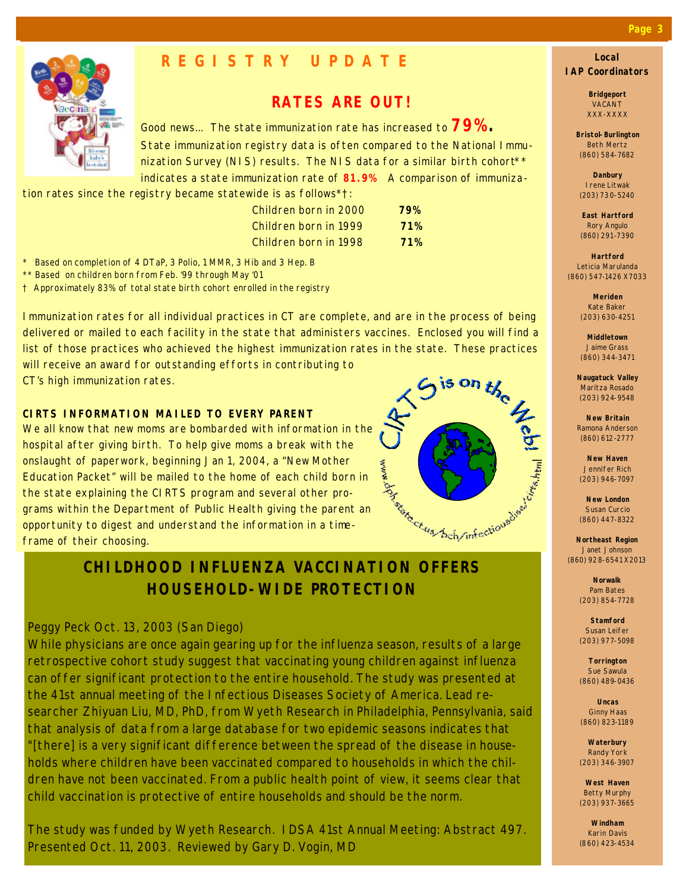

## **REGISTRY UPDATE**

## **RATES ARE OUT!**

Good news... The state immunization rate has increased to **79%.** State immunization registry data is often compared to the National Immunization Survey (NIS) results. The NIS data for a similar birth cohort<sup>\*\*</sup> indicates a state immunization rate of **81.9%** A comparison of immuniza-

tion rates since the registry became statewide is as follows\*†:

| Children born in 2000 | 79% |
|-----------------------|-----|
| Children born in 1999 | 71% |
| Children born in 1998 | 71% |

*\* Based on completion of 4 DTaP, 3 Polio, 1 MMR, 3 Hib and 3 Hep. B*

*\*\* Based on children born from Feb. '99 through May '01*

*† Approximately 83% of total state birth cohort enrolled in the registry*

Immunization rates for all individual practices in CT are complete, and are in the process of being delivered or mailed to each facility in the state that administers vaccines. Enclosed you will find a list of those practices who achieved the highest immunization rates in the state. These practices<br>will receive an award for outstanding efforts in contributing to<br>CT's high immunization rates.<br><br><br><br><br><br><br><br><br><br><br><br><br><br><br><br><br><br><br><br><br><br><br><br><br><br><br><br><br><br> will receive an award for outstanding efforts in contributing to

CT's high immunization rates.

## **CIRTS INFORMATION MAILED TO EVERY PARENT**

We all know that new moms are bombarded with information in the hospital after giving birth. To help give moms a break with the onslaught of paperwork, beginning Jan 1, 2004, a "New Mother Education Packet" will be mailed to the home of each child born in the state explaining the CIRTS program and several other programs within the Department of Public Health giving the parent an opportunity to digest and understand the information in a timeframe of their choosing.

# Antarchiel Charles Chamberland

## **CHILDHOOD INFLUENZA VACCINATION OFFERS HOUSEHOLD-WIDE PROTECTION**

## *Peggy Peck Oct. 13, 2003 (San Diego)*

While physicians are once again gearing up for the influenza season, results of a large retrospective cohort study suggest that vaccinating young children against influenza can offer significant protection to the entire household. The study was presented at the 41st annual meeting of the Infectious Diseases Society of America. Lead researcher Zhiyuan Liu, MD, PhD, from Wyeth Research in Philadelphia, Pennsylvania, said that analysis of data from a large database for two epidemic seasons indicates that "[there] is a very significant difference between the spread of the disease in households where children have been vaccinated compared to households in which the children have not been vaccinated. From a public health point of view, it seems clear that child vaccination is protective of entire households and should be the norm.

The study was funded by Wyeth Research. IDSA 41st Annual Meeting: Abstract 497. Presented Oct. 11, 2003. Reviewed by Gary D. Vogin, MD

#### **Local IAP Coordinators**

**Bridgeport** VACANT XXX-XXXX

**Bristol-Burlington** Beth Mertz (860) 584-7682

**Danbury** Irene Litwak (203) 730-5240

**East Hartford** Rory Angulo (860) 291-7390

**Hartford** Leticia Marulanda (860) 547-1426 X7033

> **Meriden** Kate Baker (203) 630-4251

**Middletown** Jaime Grass (860) 344-3471

**Naugatuck Valley** Maritza Rosado (203) 924-9548

**New Britain** Ramona Anderson (860) 612-2777

**New Haven** Jennifer Rich (203) 946-7097

**New London** Susan Curcio (860) 447-8322

**Northeast Region** Janet Johnson (860) 928-6541 X2013

> **Norwalk** Pam Bates (203) 854-7728

**Stamford** Susan Leifer (203) 977-5098

**Torrington** Sue Sawula (860) 489-0436

**Uncas** Ginny Haas (860) 823-1189

**Waterbury** Randy York (203) 346-3907

**West Haven** Betty Murphy (203) 937-3665

**Windham** Karin Davis (860) 423-4534